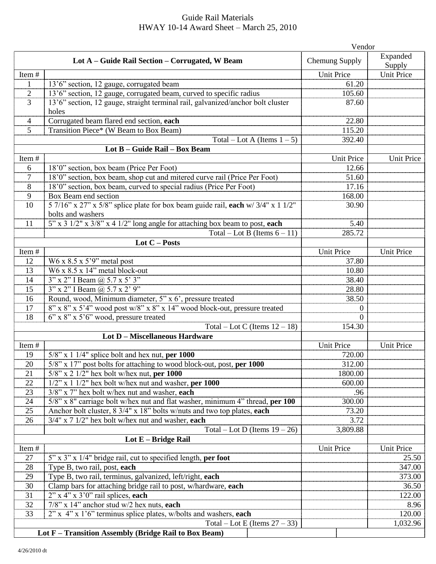## Guide Rail Materials HWAY 10-14 Award Sheet – March 25, 2010

|                                                       | Vendor                                                                                                                         |                            |                    |  |  |  |  |  |  |
|-------------------------------------------------------|--------------------------------------------------------------------------------------------------------------------------------|----------------------------|--------------------|--|--|--|--|--|--|
|                                                       | Lot A – Guide Rail Section – Corrugated, W Beam                                                                                | Chemung Supply             | Expanded<br>Supply |  |  |  |  |  |  |
| Item#                                                 |                                                                                                                                | <b>Unit Price</b>          | <b>Unit Price</b>  |  |  |  |  |  |  |
| 1                                                     | 13'6" section, 12 gauge, corrugated beam                                                                                       | 61.20                      |                    |  |  |  |  |  |  |
| $\overline{2}$                                        | 13'6" section, 12 gauge, corrugated beam, curved to specific radius                                                            | 105.60                     |                    |  |  |  |  |  |  |
| 3                                                     | 13'6" section, 12 gauge, straight terminal rail, galvanized/anchor bolt cluster                                                | 87.60                      |                    |  |  |  |  |  |  |
|                                                       | holes                                                                                                                          |                            |                    |  |  |  |  |  |  |
| $\overline{4}$                                        | Corrugated beam flared end section, each                                                                                       | 22.80                      |                    |  |  |  |  |  |  |
| $\mathfrak{S}$                                        | Transition Piece* (W Beam to Box Beam)                                                                                         | 115.20                     |                    |  |  |  |  |  |  |
|                                                       | Total – Lot A (Items $1 - 5$ )                                                                                                 | 392.40                     |                    |  |  |  |  |  |  |
|                                                       | Lot B - Guide Rail - Box Beam                                                                                                  |                            |                    |  |  |  |  |  |  |
| Item#<br>6                                            | 18'0" section, box beam (Price Per Foot)                                                                                       | <b>Unit Price</b><br>12.66 | Unit Price         |  |  |  |  |  |  |
| $\overline{7}$                                        | 18'0" section, box beam, shop cut and mitered curve rail (Price Per Foot)                                                      | 51.60                      |                    |  |  |  |  |  |  |
| 8                                                     | 18'0" section, box beam, curved to special radius (Price Per Foot)                                                             | 17.16                      |                    |  |  |  |  |  |  |
| 9                                                     | Box Beam end section                                                                                                           | 168.00                     |                    |  |  |  |  |  |  |
| 10                                                    | 5 7/16" x 27" x 5/8" splice plate for box beam guide rail, each w/ 3/4" x 1 1/2"                                               | 30.90                      |                    |  |  |  |  |  |  |
|                                                       | bolts and washers                                                                                                              |                            |                    |  |  |  |  |  |  |
| 11                                                    | 5" x 3 1/2" x 3/8" x 4 1/2" long angle for attaching box beam to post, each                                                    | 5.40                       |                    |  |  |  |  |  |  |
|                                                       | Total – Lot B (Items $6 - 11$ )                                                                                                | 285.72                     |                    |  |  |  |  |  |  |
|                                                       | Lot $C$ – Posts                                                                                                                |                            |                    |  |  |  |  |  |  |
| Item#                                                 |                                                                                                                                | Unit Price                 | <b>Unit Price</b>  |  |  |  |  |  |  |
| 12                                                    | W6 x $8.5$ x $5'$ 9" metal post                                                                                                | 37.80                      |                    |  |  |  |  |  |  |
| 13                                                    | $W6 \times 8.5 \times 14$ " metal block-out                                                                                    | 10.80                      |                    |  |  |  |  |  |  |
| 14                                                    | 3" x 2" I Beam @ 5.7 x 5' 3"                                                                                                   | 38.40                      |                    |  |  |  |  |  |  |
| 15                                                    | 3" x 2" I Beam @ 5.7 x 2' 9"                                                                                                   | 28.80                      |                    |  |  |  |  |  |  |
| 16                                                    | Round, wood, Minimum diameter, 5" x 6', pressure treated                                                                       | 38.50                      |                    |  |  |  |  |  |  |
| 17                                                    | 8" x 8" x 5'4" wood post w/8" x 8" x 14" wood block-out, pressure treated                                                      | 0                          |                    |  |  |  |  |  |  |
| 18                                                    | $6$ " x $8$ " x $5$ ' $6$ " wood, pressure treated                                                                             | 0                          |                    |  |  |  |  |  |  |
|                                                       | Total – Lot C (Items $12 - 18$ )                                                                                               | 154.30                     |                    |  |  |  |  |  |  |
| Lot D - Miscellaneous Hardware                        |                                                                                                                                |                            |                    |  |  |  |  |  |  |
| Item#                                                 |                                                                                                                                | <b>Unit Price</b>          | <b>Unit Price</b>  |  |  |  |  |  |  |
| 19<br>20                                              | $5/8$ " x 1 1/4" splice bolt and hex nut, per 1000<br>$5/8$ " x 17" post bolts for attaching to wood block-out, post, per 1000 | 720.00<br>312.00           |                    |  |  |  |  |  |  |
| 21                                                    | $5/8$ " x 2 $1/2$ " hex bolt w/hex nut, per 1000                                                                               | 1800.00                    |                    |  |  |  |  |  |  |
| 22                                                    | $1/2$ " x 1 $1/2$ " hex bolt w/hex nut and washer, per 1000                                                                    | 600.00                     |                    |  |  |  |  |  |  |
| 23                                                    | $3/8$ " x 7" hex bolt w/hex nut and washer, each                                                                               | .96                        |                    |  |  |  |  |  |  |
| 24                                                    | 5/8" x 8" carriage bolt w/hex nut and flat washer, minimum 4" thread, per 100                                                  | 300.00                     |                    |  |  |  |  |  |  |
| 25                                                    | Anchor bolt cluster, 8 3/4" x 18" bolts w/nuts and two top plates, each                                                        | 73.20                      |                    |  |  |  |  |  |  |
| 26                                                    | $3/4$ " x 7 $1/2$ " hex bolt w/hex nut and washer, each                                                                        | 3.72                       |                    |  |  |  |  |  |  |
|                                                       | Total – Lot D (Items $19 - 26$ )                                                                                               | 3,809.88                   |                    |  |  |  |  |  |  |
| Lot E - Bridge Rail                                   |                                                                                                                                |                            |                    |  |  |  |  |  |  |
| Item#                                                 |                                                                                                                                | Unit Price                 | <b>Unit Price</b>  |  |  |  |  |  |  |
| 27                                                    | 5" x 3" x 1/4" bridge rail, cut to specified length, per foot                                                                  |                            | 25.50              |  |  |  |  |  |  |
| 28                                                    | Type B, two rail, post, each                                                                                                   |                            | 347.00             |  |  |  |  |  |  |
| 29                                                    | Type B, two rail, terminus, galvanized, left/right, each                                                                       |                            | 373.00             |  |  |  |  |  |  |
| 30                                                    | Clamp bars for attaching bridge rail to post, w/hardware, each                                                                 |                            | 36.50              |  |  |  |  |  |  |
| 31                                                    | $2$ " x 4" x 3'0" rail splices, each                                                                                           |                            | 122.00             |  |  |  |  |  |  |
| 32                                                    | $7/8$ " x 14" anchor stud w/2 hex nuts, each                                                                                   |                            | 8.96               |  |  |  |  |  |  |
| 33                                                    | 2" x 4" x 1'6" terminus splice plates, w/bolts and washers, each                                                               |                            | 120.00<br>1,032.96 |  |  |  |  |  |  |
| Total – Lot E (Items $27 - 33$ )                      |                                                                                                                                |                            |                    |  |  |  |  |  |  |
| Lot F - Transition Assembly (Bridge Rail to Box Beam) |                                                                                                                                |                            |                    |  |  |  |  |  |  |